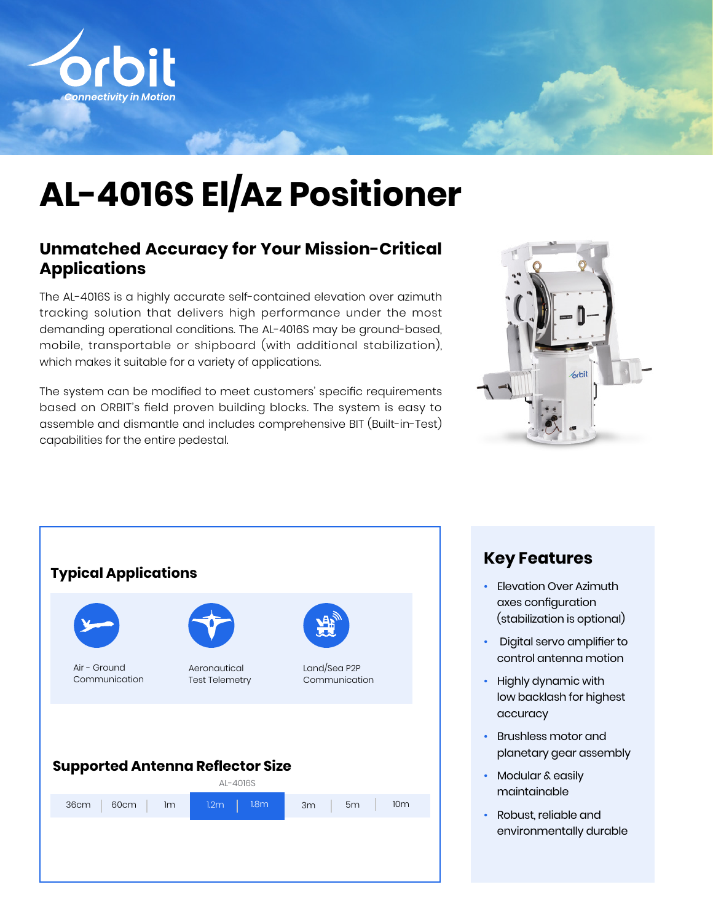

# **AL-4016S El/Az Positioner**

#### **Unmatched Accuracy for Your Mission-Critical Applications**

The AL-4016S is a highly accurate self-contained elevation over azimuth tracking solution that delivers high performance under the most demanding operational conditions. The AL-4016S may be ground-based, mobile, transportable or shipboard (with additional stabilization), which makes it suitable for a variety of applications.

The system can be modified to meet customers' specific requirements based on ORBIT's field proven building blocks. The system is easy to assemble and dismantle and includes comprehensive BIT (Built-in-Test) capabilities for the entire pedestal.





#### **Key Features**

- Elevation Over Azimuth axes configuration (stabilization is optional)
- Digital servo amplifier to control antenna motion
- Highly dynamic with low backlash for highest accuracy
- Brushless motor and planetary gear assembly
- Modular & easily maintainable
- Robust, reliable and environmentally durable